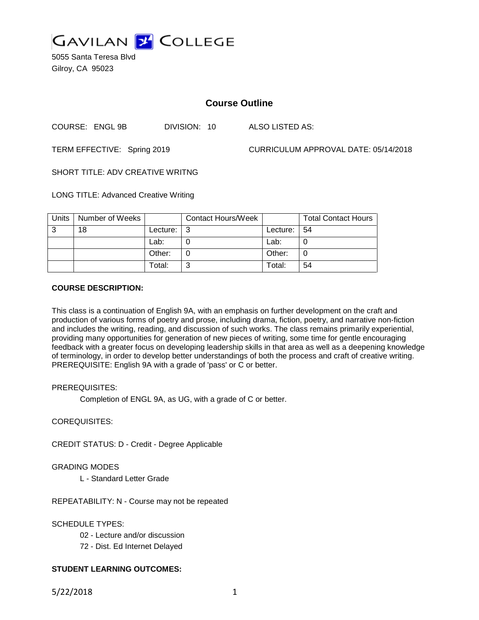

5055 Santa Teresa Blvd Gilroy, CA 95023

# **Course Outline**

COURSE: ENGL 9B DIVISION: 10 ALSO LISTED AS:

TERM EFFECTIVE: Spring 2019 CURRICULUM APPROVAL DATE: 05/14/2018

SHORT TITLE: ADV CREATIVE WRITNG

LONG TITLE: Advanced Creative Writing

| <b>Units</b> | Number of Weeks |          | <b>Contact Hours/Week</b> |          | <b>Total Contact Hours</b> |
|--------------|-----------------|----------|---------------------------|----------|----------------------------|
| 3            | 18              | Lecture: |                           | Lecture: | l 54                       |
|              |                 | Lab:     |                           | Lab:     |                            |
|              |                 | Other:   |                           | Other:   |                            |
|              |                 | Total:   |                           | Total:   | 54                         |

### **COURSE DESCRIPTION:**

This class is a continuation of English 9A, with an emphasis on further development on the craft and production of various forms of poetry and prose, including drama, fiction, poetry, and narrative non-fiction and includes the writing, reading, and discussion of such works. The class remains primarily experiential, providing many opportunities for generation of new pieces of writing, some time for gentle encouraging feedback with a greater focus on developing leadership skills in that area as well as a deepening knowledge of terminology, in order to develop better understandings of both the process and craft of creative writing. PREREQUISITE: English 9A with a grade of 'pass' or C or better.

### PREREQUISITES:

Completion of ENGL 9A, as UG, with a grade of C or better.

### COREQUISITES:

CREDIT STATUS: D - Credit - Degree Applicable

### GRADING MODES

L - Standard Letter Grade

REPEATABILITY: N - Course may not be repeated

### SCHEDULE TYPES:

02 - Lecture and/or discussion

72 - Dist. Ed Internet Delayed

### **STUDENT LEARNING OUTCOMES:**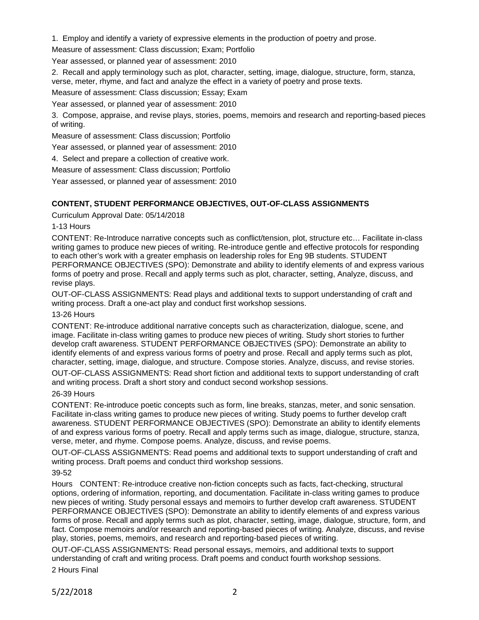1. Employ and identify a variety of expressive elements in the production of poetry and prose.

Measure of assessment: Class discussion; Exam; Portfolio

Year assessed, or planned year of assessment: 2010

2. Recall and apply terminology such as plot, character, setting, image, dialogue, structure, form, stanza, verse, meter, rhyme, and fact and analyze the effect in a variety of poetry and prose texts.

Measure of assessment: Class discussion; Essay; Exam

Year assessed, or planned year of assessment: 2010

3. Compose, appraise, and revise plays, stories, poems, memoirs and research and reporting-based pieces of writing.

Measure of assessment: Class discussion; Portfolio

Year assessed, or planned year of assessment: 2010

4. Select and prepare a collection of creative work.

Measure of assessment: Class discussion; Portfolio

Year assessed, or planned year of assessment: 2010

# **CONTENT, STUDENT PERFORMANCE OBJECTIVES, OUT-OF-CLASS ASSIGNMENTS**

Curriculum Approval Date: 05/14/2018

### 1-13 Hours

CONTENT: Re-Introduce narrative concepts such as conflict/tension, plot, structure etc… Facilitate in-class writing games to produce new pieces of writing. Re-introduce gentle and effective protocols for responding to each other's work with a greater emphasis on leadership roles for Eng 9B students. STUDENT PERFORMANCE OBJECTIVES (SPO): Demonstrate and ability to identify elements of and express various forms of poetry and prose. Recall and apply terms such as plot, character, setting, Analyze, discuss, and revise plays.

OUT-OF-CLASS ASSIGNMENTS: Read plays and additional texts to support understanding of craft and writing process. Draft a one-act play and conduct first workshop sessions.

### 13-26 Hours

CONTENT: Re-introduce additional narrative concepts such as characterization, dialogue, scene, and image. Facilitate in-class writing games to produce new pieces of writing. Study short stories to further develop craft awareness. STUDENT PERFORMANCE OBJECTIVES (SPO): Demonstrate an ability to identify elements of and express various forms of poetry and prose. Recall and apply terms such as plot, character, setting, image, dialogue, and structure. Compose stories. Analyze, discuss, and revise stories.

OUT-OF-CLASS ASSIGNMENTS: Read short fiction and additional texts to support understanding of craft and writing process. Draft a short story and conduct second workshop sessions.

### 26-39 Hours

CONTENT: Re-introduce poetic concepts such as form, line breaks, stanzas, meter, and sonic sensation. Facilitate in-class writing games to produce new pieces of writing. Study poems to further develop craft awareness. STUDENT PERFORMANCE OBJECTIVES (SPO): Demonstrate an ability to identify elements of and express various forms of poetry. Recall and apply terms such as image, dialogue, structure, stanza, verse, meter, and rhyme. Compose poems. Analyze, discuss, and revise poems.

OUT-OF-CLASS ASSIGNMENTS: Read poems and additional texts to support understanding of craft and writing process. Draft poems and conduct third workshop sessions.

### 39-52

Hours CONTENT: Re-introduce creative non-fiction concepts such as facts, fact-checking, structural options, ordering of information, reporting, and documentation. Facilitate in-class writing games to produce new pieces of writing. Study personal essays and memoirs to further develop craft awareness. STUDENT PERFORMANCE OBJECTIVES (SPO): Demonstrate an ability to identify elements of and express various forms of prose. Recall and apply terms such as plot, character, setting, image, dialogue, structure, form, and fact. Compose memoirs and/or research and reporting-based pieces of writing. Analyze, discuss, and revise play, stories, poems, memoirs, and research and reporting-based pieces of writing.

OUT-OF-CLASS ASSIGNMENTS: Read personal essays, memoirs, and additional texts to support understanding of craft and writing process. Draft poems and conduct fourth workshop sessions.

2 Hours Final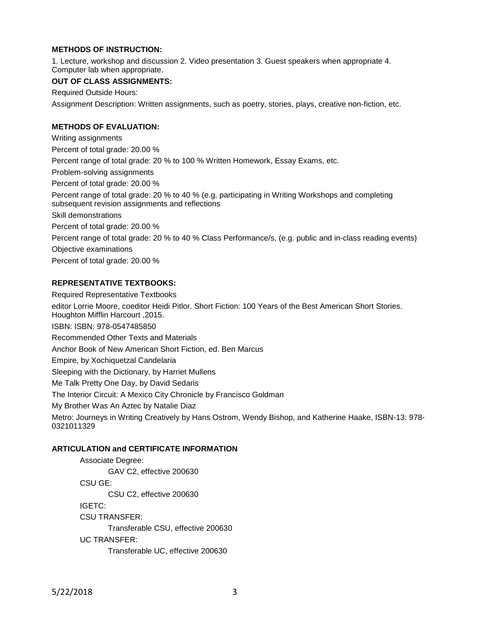## **METHODS OF INSTRUCTION:**

1. Lecture, workshop and discussion 2. Video presentation 3. Guest speakers when appropriate 4. Computer lab when appropriate.

#### **OUT OF CLASS ASSIGNMENTS:**

Required Outside Hours:

Assignment Description: Written assignments, such as poetry, stories, plays, creative non-fiction, etc.

## **METHODS OF EVALUATION:**

Writing assignments Percent of total grade: 20.00 % Percent range of total grade: 20 % to 100 % Written Homework, Essay Exams, etc. Problem-solving assignments Percent of total grade: 20.00 % Percent range of total grade: 20 % to 40 % (e.g. participating in Writing Workshops and completing subsequent revision assignments and reflections Skill demonstrations Percent of total grade: 20.00 % Percent range of total grade: 20 % to 40 % Class Performance/s, (e.g. public and in-class reading events) Objective examinations Percent of total grade: 20.00 %

#### **REPRESENTATIVE TEXTBOOKS:**

Required Representative Textbooks editor Lorrie Moore, coeditor Heidi Pitlor. Short Fiction: 100 Years of the Best American Short Stories. Houghton Mifflin Harcourt ,2015. ISBN: ISBN: 978-0547485850 Recommended Other Texts and Materials Anchor Book of New American Short Fiction, ed. Ben Marcus Empire, by Xochiquetzal Candelaria Sleeping with the Dictionary, by Harriet Mullens Me Talk Pretty One Day, by David Sedaris The Interior Circuit: A Mexico City Chronicle by Francisco Goldman My Brother Was An Aztec by Natalie Diaz Metro: Journeys in Writing Creatively by Hans Ostrom, Wendy Bishop, and Katherine Haake, ISBN-13: 978- 0321011329

#### **ARTICULATION and CERTIFICATE INFORMATION**

Associate Degree: GAV C2, effective 200630 CSU GE: CSU C2, effective 200630 IGETC: CSU TRANSFER: Transferable CSU, effective 200630 UC TRANSFER: Transferable UC, effective 200630